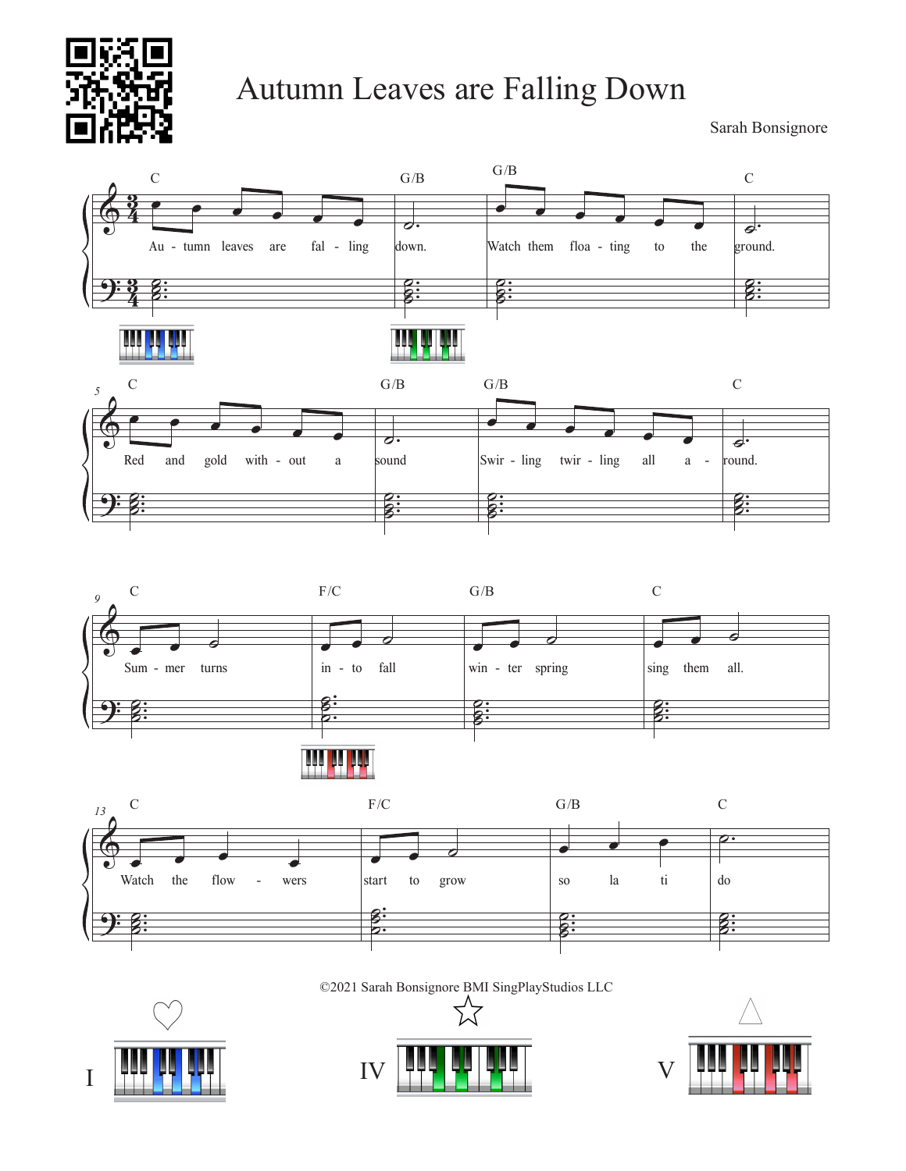

## Autumn Leaves are Falling Down

Sarah Bonsignore







©2021 Sarah Bonsignore BMI SingPlayStudios LLC